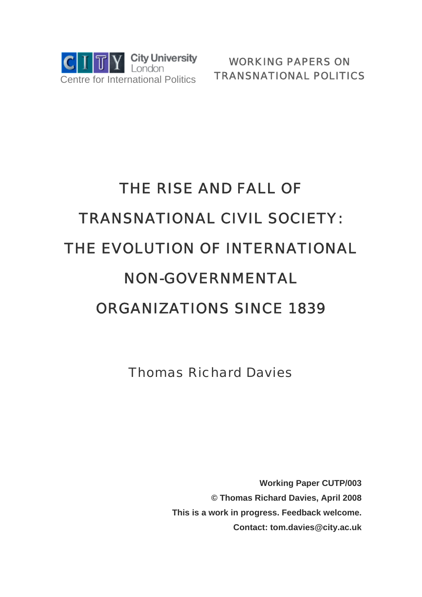

WORKING PAPERS ON TRANSNATIONAL POLITICS

# THE RISE AND FALL OF TRANSNATIONAL CIVIL SOCIETY: THE EVOLUTION OF INTERNATIONAL NON-GOVERNMENTAL ORGANIZATIONS SINCE 1839

Thomas Richard Davies

**Working Paper CUTP/003 © Thomas Richard Davies, April 2008 This is a work in progress. Feedback welcome. Contact: tom.davies@city.ac.uk**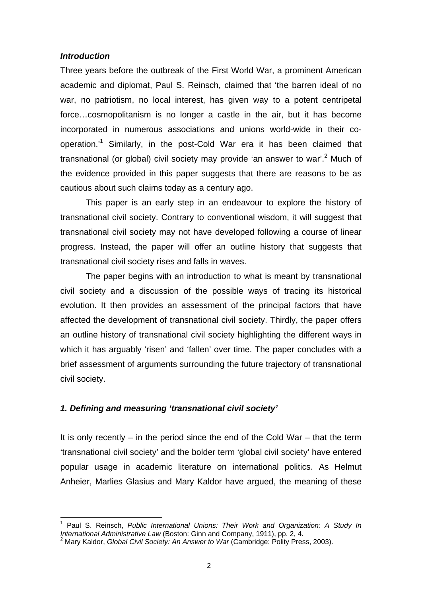#### *Introduction*

1

Three years before the outbreak of the First World War, a prominent American academic and diplomat, Paul S. Reinsch, claimed that 'the barren ideal of no war, no patriotism, no local interest, has given way to a potent centripetal force…cosmopolitanism is no longer a castle in the air, but it has become incorporated in numerous associations and unions world-wide in their cooperation.<sup>1</sup> Similarly, in the post-Cold War era it has been claimed that transnational (or global) civil society may provide 'an answer to war'.<sup>2</sup> Much of the evidence provided in this paper suggests that there are reasons to be as cautious about such claims today as a century ago.

This paper is an early step in an endeavour to explore the history of transnational civil society. Contrary to conventional wisdom, it will suggest that transnational civil society may not have developed following a course of linear progress. Instead, the paper will offer an outline history that suggests that transnational civil society rises and falls in waves.

 The paper begins with an introduction to what is meant by transnational civil society and a discussion of the possible ways of tracing its historical evolution. It then provides an assessment of the principal factors that have affected the development of transnational civil society. Thirdly, the paper offers an outline history of transnational civil society highlighting the different ways in which it has arguably 'risen' and 'fallen' over time. The paper concludes with a brief assessment of arguments surrounding the future trajectory of transnational civil society.

# *1. Defining and measuring 'transnational civil society'*

It is only recently – in the period since the end of the Cold War – that the term 'transnational civil society' and the bolder term 'global civil society' have entered popular usage in academic literature on international politics. As Helmut Anheier, Marlies Glasius and Mary Kaldor have argued, the meaning of these

<sup>1</sup> Paul S. Reinsch, *Public International Unions: Their Work and Organization: A Study In International Administrative Law* (Boston: Ginn and Company, 1911), pp. 2, 4. 2 Mary Kaldor, *Global Civil Society: An Answer to War* (Cambridge: Polity Press, 2003).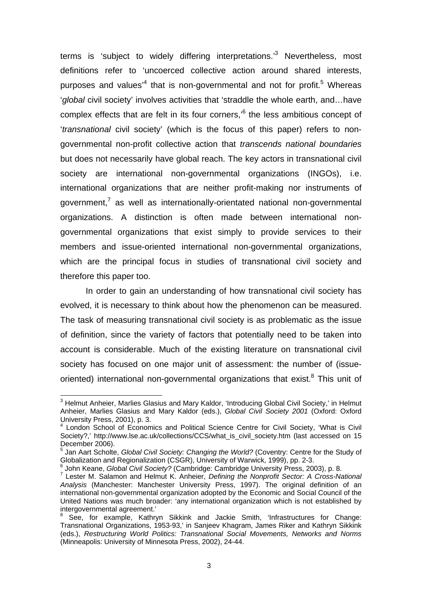terms is 'subject to widely differing interpretations.<sup>3</sup> Nevertheless, most definitions refer to 'uncoerced collective action around shared interests, purposes and values<sup>,4</sup> that is non-governmental and not for profit.<sup>5</sup> Whereas '*global* civil society' involves activities that 'straddle the whole earth, and…have complex effects that are felt in its four corners,<sup>6</sup> the less ambitious concept of '*transnational* civil society' (which is the focus of this paper) refers to nongovernmental non-profit collective action that *transcends national boundaries* but does not necessarily have global reach. The key actors in transnational civil society are international non-governmental organizations (INGOs), i.e. international organizations that are neither profit-making nor instruments of government, $^7$  as well as internationally-orientated national non-governmental organizations. A distinction is often made between international nongovernmental organizations that exist simply to provide services to their members and issue-oriented international non-governmental organizations, which are the principal focus in studies of transnational civil society and therefore this paper too.

In order to gain an understanding of how transnational civil society has evolved, it is necessary to think about how the phenomenon can be measured. The task of measuring transnational civil society is as problematic as the issue of definition, since the variety of factors that potentially need to be taken into account is considerable. Much of the existing literature on transnational civil society has focused on one major unit of assessment: the number of (issueoriented) international non-governmental organizations that exist.<sup>8</sup> This unit of

\_\_\_\_\_\_\_\_\_\_\_\_\_\_\_\_\_\_\_\_\_\_\_\_\_\_\_\_\_\_\_\_\_\_\_<br><sup>3</sup> Helmut Anheier, Marlies Glasius and Mary Kaldor, 'Introducing Global Civil Society,' in Helmut Anheier, Marlies Glasius and Mary Kaldor (eds.), *Global Civil Society 2001* (Oxford: Oxford University Press, 2001), p. 3.

<sup>&</sup>lt;sup>4</sup> London School of Economics and Political Science Centre for Civil Society, 'What is Civil Society?,' http://www.lse.ac.uk/collections/CCS/what\_is\_civil\_society.htm (last accessed on 15 December 2006).

<sup>5</sup> Jan Aart Scholte, *Global Civil Society: Changing the World?* (Coventry: Centre for the Study of Globalization and Regionalization (CSGR), University of Warwick, 1999), pp. 2-3. 6

John Keane, *Global Civil Society?* (Cambridge: Cambridge University Press, 2003), p. 8. 7

Lester M. Salamon and Helmut K. Anheier, *Defining the Nonprofit Sector: A Cross-National Analysis* (Manchester: Manchester University Press, 1997). The original definition of an international non-governmental organization adopted by the Economic and Social Council of the United Nations was much broader: 'any international organization which is not established by intergovernmental agreement.'

<sup>8</sup> See, for example, Kathryn Sikkink and Jackie Smith, 'Infrastructures for Change: Transnational Organizations, 1953-93,' in Sanjeev Khagram, James Riker and Kathryn Sikkink (eds.), *Restructuring World Politics: Transnational Social Movements, Networks and Norms* (Minneapolis: University of Minnesota Press, 2002), 24-44.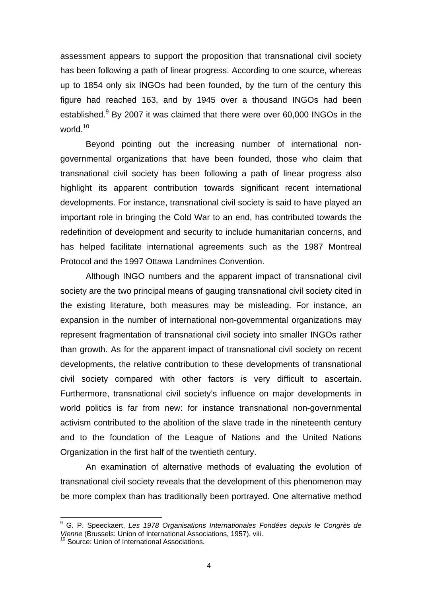assessment appears to support the proposition that transnational civil society has been following a path of linear progress. According to one source, whereas up to 1854 only six INGOs had been founded, by the turn of the century this figure had reached 163, and by 1945 over a thousand INGOs had been established.<sup>9</sup> By 2007 it was claimed that there were over 60,000 INGOs in the world.<sup>10</sup>

 Beyond pointing out the increasing number of international nongovernmental organizations that have been founded, those who claim that transnational civil society has been following a path of linear progress also highlight its apparent contribution towards significant recent international developments. For instance, transnational civil society is said to have played an important role in bringing the Cold War to an end, has contributed towards the redefinition of development and security to include humanitarian concerns, and has helped facilitate international agreements such as the 1987 Montreal Protocol and the 1997 Ottawa Landmines Convention.

 Although INGO numbers and the apparent impact of transnational civil society are the two principal means of gauging transnational civil society cited in the existing literature, both measures may be misleading. For instance, an expansion in the number of international non-governmental organizations may represent fragmentation of transnational civil society into smaller INGOs rather than growth. As for the apparent impact of transnational civil society on recent developments, the relative contribution to these developments of transnational civil society compared with other factors is very difficult to ascertain. Furthermore, transnational civil society's influence on major developments in world politics is far from new: for instance transnational non-governmental activism contributed to the abolition of the slave trade in the nineteenth century and to the foundation of the League of Nations and the United Nations Organization in the first half of the twentieth century.

 An examination of alternative methods of evaluating the evolution of transnational civil society reveals that the development of this phenomenon may be more complex than has traditionally been portrayed. One alternative method

<sup>9</sup> G. P. Speeckaert, *Les 1978 Organisations Internationales Fondées depuis le Congrès de Vienne* (Brussels: Union of International Associations, 1957), viii. 10 Source: Union of International Associations.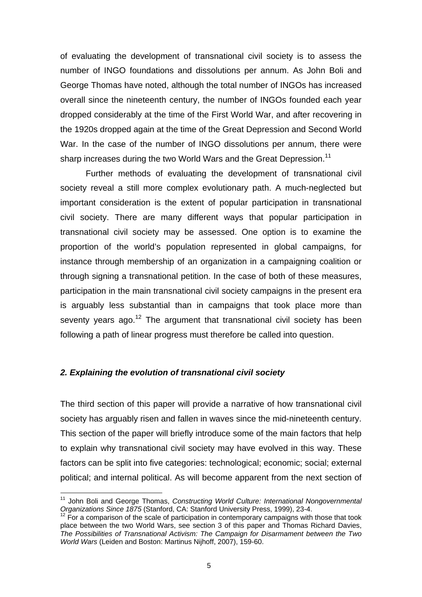of evaluating the development of transnational civil society is to assess the number of INGO foundations and dissolutions per annum. As John Boli and George Thomas have noted, although the total number of INGOs has increased overall since the nineteenth century, the number of INGOs founded each year dropped considerably at the time of the First World War, and after recovering in the 1920s dropped again at the time of the Great Depression and Second World War. In the case of the number of INGO dissolutions per annum, there were sharp increases during the two World Wars and the Great Depression.<sup>11</sup>

 Further methods of evaluating the development of transnational civil society reveal a still more complex evolutionary path. A much-neglected but important consideration is the extent of popular participation in transnational civil society. There are many different ways that popular participation in transnational civil society may be assessed. One option is to examine the proportion of the world's population represented in global campaigns, for instance through membership of an organization in a campaigning coalition or through signing a transnational petition. In the case of both of these measures, participation in the main transnational civil society campaigns in the present era is arguably less substantial than in campaigns that took place more than seventy years ago.<sup>12</sup> The argument that transnational civil society has been following a path of linear progress must therefore be called into question.

## *2. Explaining the evolution of transnational civil society*

1

The third section of this paper will provide a narrative of how transnational civil society has arguably risen and fallen in waves since the mid-nineteenth century. This section of the paper will briefly introduce some of the main factors that help to explain why transnational civil society may have evolved in this way. These factors can be split into five categories: technological; economic; social; external political; and internal political. As will become apparent from the next section of

<sup>11</sup> John Boli and George Thomas, *Constructing World Culture: International Nongovernmental Organizations Since 1875* (Stanford, CA: Stanford University Press, 1999), 23-4. 12 For a comparison of the scale of participation in contemporary campaigns with those that took

place between the two World Wars, see section 3 of this paper and Thomas Richard Davies, *The Possibilities of Transnational Activism: The Campaign for Disarmament between the Two World Wars* (Leiden and Boston: Martinus Nijhoff, 2007), 159-60.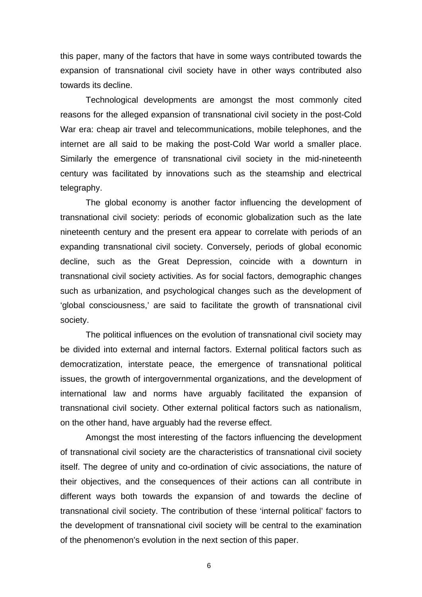this paper, many of the factors that have in some ways contributed towards the expansion of transnational civil society have in other ways contributed also towards its decline.

 Technological developments are amongst the most commonly cited reasons for the alleged expansion of transnational civil society in the post-Cold War era: cheap air travel and telecommunications, mobile telephones, and the internet are all said to be making the post-Cold War world a smaller place. Similarly the emergence of transnational civil society in the mid-nineteenth century was facilitated by innovations such as the steamship and electrical telegraphy.

 The global economy is another factor influencing the development of transnational civil society: periods of economic globalization such as the late nineteenth century and the present era appear to correlate with periods of an expanding transnational civil society. Conversely, periods of global economic decline, such as the Great Depression, coincide with a downturn in transnational civil society activities. As for social factors, demographic changes such as urbanization, and psychological changes such as the development of 'global consciousness,' are said to facilitate the growth of transnational civil society.

 The political influences on the evolution of transnational civil society may be divided into external and internal factors. External political factors such as democratization, interstate peace, the emergence of transnational political issues, the growth of intergovernmental organizations, and the development of international law and norms have arguably facilitated the expansion of transnational civil society. Other external political factors such as nationalism, on the other hand, have arguably had the reverse effect.

 Amongst the most interesting of the factors influencing the development of transnational civil society are the characteristics of transnational civil society itself. The degree of unity and co-ordination of civic associations, the nature of their objectives, and the consequences of their actions can all contribute in different ways both towards the expansion of and towards the decline of transnational civil society. The contribution of these 'internal political' factors to the development of transnational civil society will be central to the examination of the phenomenon's evolution in the next section of this paper.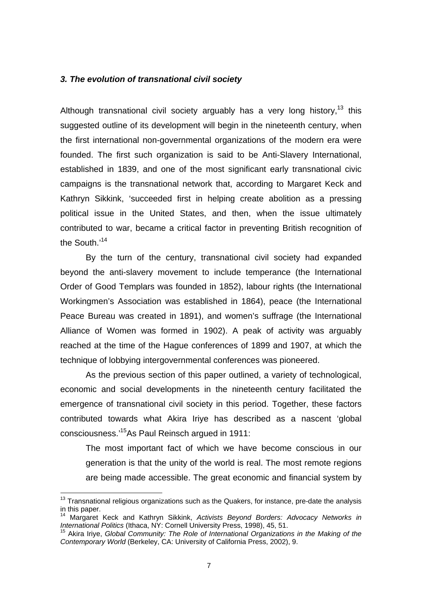#### *3. The evolution of transnational civil society*

Although transnational civil society arguably has a very long history,<sup>13</sup> this suggested outline of its development will begin in the nineteenth century, when the first international non-governmental organizations of the modern era were founded. The first such organization is said to be Anti-Slavery International, established in 1839, and one of the most significant early transnational civic campaigns is the transnational network that, according to Margaret Keck and Kathryn Sikkink, 'succeeded first in helping create abolition as a pressing political issue in the United States, and then, when the issue ultimately contributed to war, became a critical factor in preventing British recognition of the South.'14

 By the turn of the century, transnational civil society had expanded beyond the anti-slavery movement to include temperance (the International Order of Good Templars was founded in 1852), labour rights (the International Workingmen's Association was established in 1864), peace (the International Peace Bureau was created in 1891), and women's suffrage (the International Alliance of Women was formed in 1902). A peak of activity was arguably reached at the time of the Hague conferences of 1899 and 1907, at which the technique of lobbying intergovernmental conferences was pioneered.

 As the previous section of this paper outlined, a variety of technological, economic and social developments in the nineteenth century facilitated the emergence of transnational civil society in this period. Together, these factors contributed towards what Akira Iriye has described as a nascent 'global consciousness.'15As Paul Reinsch argued in 1911:

The most important fact of which we have become conscious in our generation is that the unity of the world is real. The most remote regions are being made accessible. The great economic and financial system by

 $13$  Transnational religious organizations such as the Quakers, for instance, pre-date the analysis in this paper.

<sup>&</sup>lt;sup>14</sup> Margaret Keck and Kathryn Sikkink, *Activists Beyond Borders: Advocacy Networks in*<br>International Politics (Ithaca, NY: Cornell University Press, 1998), 45, 51,

<sup>&</sup>lt;sup>15</sup> Akira Iriye, *Global Community: The Role of International Organizations in the Making of the Contemporary World* (Berkeley, CA: University of California Press, 2002), 9.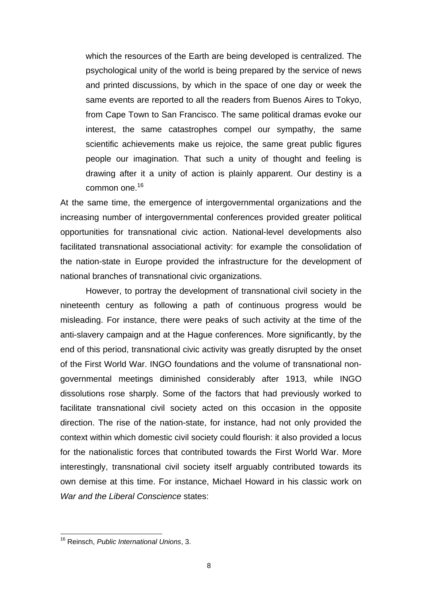which the resources of the Earth are being developed is centralized. The psychological unity of the world is being prepared by the service of news and printed discussions, by which in the space of one day or week the same events are reported to all the readers from Buenos Aires to Tokyo, from Cape Town to San Francisco. The same political dramas evoke our interest, the same catastrophes compel our sympathy, the same scientific achievements make us rejoice, the same great public figures people our imagination. That such a unity of thought and feeling is drawing after it a unity of action is plainly apparent. Our destiny is a common one.<sup>16</sup>

At the same time, the emergence of intergovernmental organizations and the increasing number of intergovernmental conferences provided greater political opportunities for transnational civic action. National-level developments also facilitated transnational associational activity: for example the consolidation of the nation-state in Europe provided the infrastructure for the development of national branches of transnational civic organizations.

 However, to portray the development of transnational civil society in the nineteenth century as following a path of continuous progress would be misleading. For instance, there were peaks of such activity at the time of the anti-slavery campaign and at the Hague conferences. More significantly, by the end of this period, transnational civic activity was greatly disrupted by the onset of the First World War. INGO foundations and the volume of transnational nongovernmental meetings diminished considerably after 1913, while INGO dissolutions rose sharply. Some of the factors that had previously worked to facilitate transnational civil society acted on this occasion in the opposite direction. The rise of the nation-state, for instance, had not only provided the context within which domestic civil society could flourish: it also provided a locus for the nationalistic forces that contributed towards the First World War. More interestingly, transnational civil society itself arguably contributed towards its own demise at this time. For instance, Michael Howard in his classic work on *War and the Liberal Conscience* states:

<u>.</u>

<sup>16</sup> Reinsch, *Public International Unions*, 3.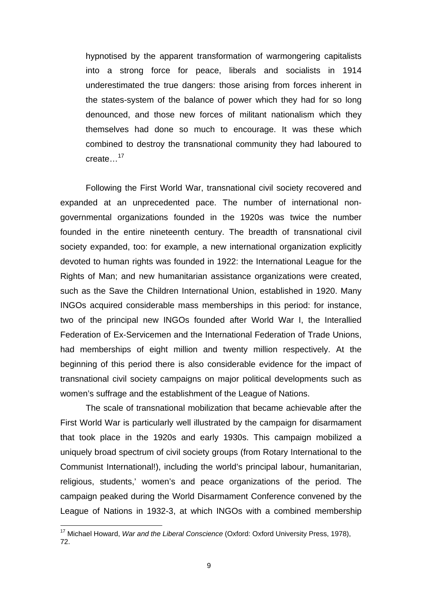hypnotised by the apparent transformation of warmongering capitalists into a strong force for peace, liberals and socialists in 1914 underestimated the true dangers: those arising from forces inherent in the states-system of the balance of power which they had for so long denounced, and those new forces of militant nationalism which they themselves had done so much to encourage. It was these which combined to destroy the transnational community they had laboured to create…<sup>17</sup>

Following the First World War, transnational civil society recovered and expanded at an unprecedented pace. The number of international nongovernmental organizations founded in the 1920s was twice the number founded in the entire nineteenth century. The breadth of transnational civil society expanded, too: for example, a new international organization explicitly devoted to human rights was founded in 1922: the International League for the Rights of Man; and new humanitarian assistance organizations were created, such as the Save the Children International Union, established in 1920. Many INGOs acquired considerable mass memberships in this period: for instance, two of the principal new INGOs founded after World War I, the Interallied Federation of Ex-Servicemen and the International Federation of Trade Unions, had memberships of eight million and twenty million respectively. At the beginning of this period there is also considerable evidence for the impact of transnational civil society campaigns on major political developments such as women's suffrage and the establishment of the League of Nations.

The scale of transnational mobilization that became achievable after the First World War is particularly well illustrated by the campaign for disarmament that took place in the 1920s and early 1930s. This campaign mobilized a uniquely broad spectrum of civil society groups (from Rotary International to the Communist International!), including the world's principal labour, humanitarian, religious, students,' women's and peace organizations of the period. The campaign peaked during the World Disarmament Conference convened by the League of Nations in 1932-3, at which INGOs with a combined membership

<sup>17</sup> Michael Howard, *War and the Liberal Conscience* (Oxford: Oxford University Press, 1978), 72.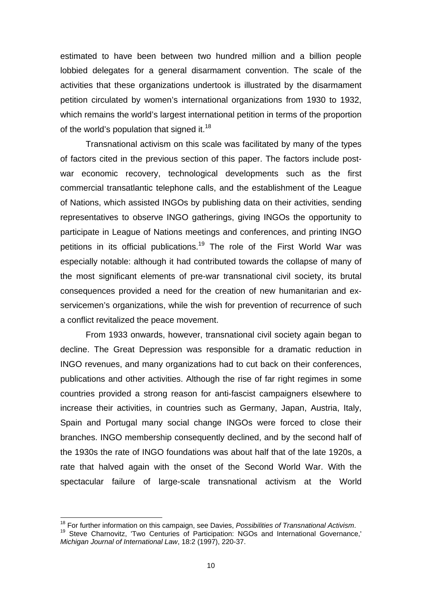estimated to have been between two hundred million and a billion people lobbied delegates for a general disarmament convention. The scale of the activities that these organizations undertook is illustrated by the disarmament petition circulated by women's international organizations from 1930 to 1932, which remains the world's largest international petition in terms of the proportion of the world's population that signed it.<sup>18</sup>

Transnational activism on this scale was facilitated by many of the types of factors cited in the previous section of this paper. The factors include postwar economic recovery, technological developments such as the first commercial transatlantic telephone calls, and the establishment of the League of Nations, which assisted INGOs by publishing data on their activities, sending representatives to observe INGO gatherings, giving INGOs the opportunity to participate in League of Nations meetings and conferences, and printing INGO petitions in its official publications.<sup>19</sup> The role of the First World War was especially notable: although it had contributed towards the collapse of many of the most significant elements of pre-war transnational civil society, its brutal consequences provided a need for the creation of new humanitarian and exservicemen's organizations, while the wish for prevention of recurrence of such a conflict revitalized the peace movement.

From 1933 onwards, however, transnational civil society again began to decline. The Great Depression was responsible for a dramatic reduction in INGO revenues, and many organizations had to cut back on their conferences, publications and other activities. Although the rise of far right regimes in some countries provided a strong reason for anti-fascist campaigners elsewhere to increase their activities, in countries such as Germany, Japan, Austria, Italy, Spain and Portugal many social change INGOs were forced to close their branches. INGO membership consequently declined, and by the second half of the 1930s the rate of INGO foundations was about half that of the late 1920s, a rate that halved again with the onset of the Second World War. With the spectacular failure of large-scale transnational activism at the World

<sup>&</sup>lt;sup>18</sup> For further information on this campaign, see Davies, *Possibilities of Transnational Activism*.<br><sup>19</sup> Steve Charnovitz, 'Two Centuries of Participation: NGOs and International Governance,'

*Michigan Journal of International Law*, 18:2 (1997), 220-37.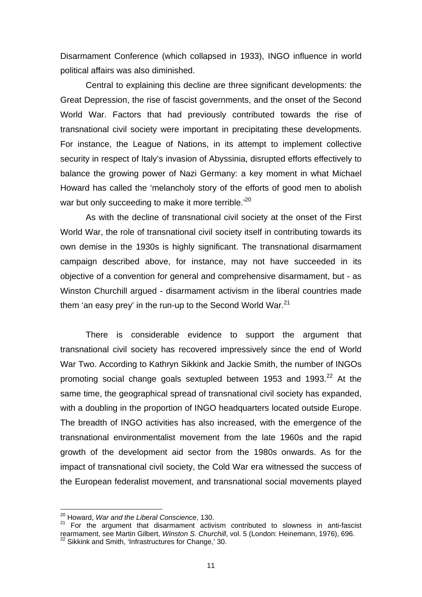Disarmament Conference (which collapsed in 1933), INGO influence in world political affairs was also diminished.

Central to explaining this decline are three significant developments: the Great Depression, the rise of fascist governments, and the onset of the Second World War. Factors that had previously contributed towards the rise of transnational civil society were important in precipitating these developments. For instance, the League of Nations, in its attempt to implement collective security in respect of Italy's invasion of Abyssinia, disrupted efforts effectively to balance the growing power of Nazi Germany: a key moment in what Michael Howard has called the 'melancholy story of the efforts of good men to abolish war but only succeeding to make it more terrible.<sup>20</sup>

As with the decline of transnational civil society at the onset of the First World War, the role of transnational civil society itself in contributing towards its own demise in the 1930s is highly significant. The transnational disarmament campaign described above, for instance, may not have succeeded in its objective of a convention for general and comprehensive disarmament, but - as Winston Churchill argued - disarmament activism in the liberal countries made them 'an easy prey' in the run-up to the Second World War. $^{21}$ 

There is considerable evidence to support the argument that transnational civil society has recovered impressively since the end of World War Two. According to Kathryn Sikkink and Jackie Smith, the number of INGOs promoting social change goals sextupled between 1953 and 1993.<sup>22</sup> At the same time, the geographical spread of transnational civil society has expanded, with a doubling in the proportion of INGO headquarters located outside Europe. The breadth of INGO activities has also increased, with the emergence of the transnational environmentalist movement from the late 1960s and the rapid growth of the development aid sector from the 1980s onwards. As for the impact of transnational civil society, the Cold War era witnessed the success of the European federalist movement, and transnational social movements played

<u>.</u>

<sup>20</sup> Howard, *War and the Liberal Conscience*, 130.

<sup>21</sup> For the argument that disarmament activism contributed to slowness in anti-fascist rearmament, see Martin Gilbert, *Winston S. Churchill*, vol. 5 (London: Heinemann, 1976), 696.<br><sup>22</sup> Sikkink and Smith, 'Infrastructures for Change,' 30.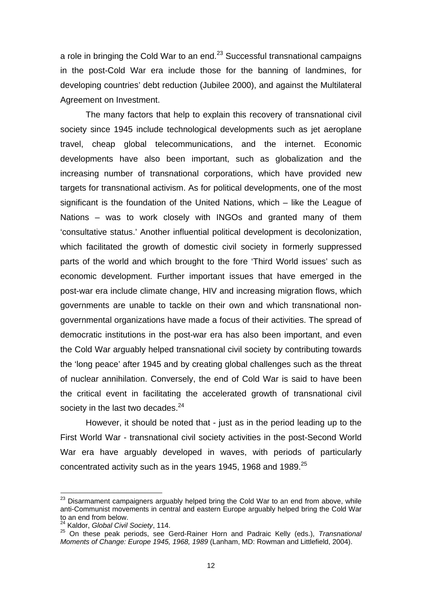a role in bringing the Cold War to an end. $2<sup>3</sup>$  Successful transnational campaigns in the post-Cold War era include those for the banning of landmines, for developing countries' debt reduction (Jubilee 2000), and against the Multilateral Agreement on Investment.

The many factors that help to explain this recovery of transnational civil society since 1945 include technological developments such as jet aeroplane travel, cheap global telecommunications, and the internet. Economic developments have also been important, such as globalization and the increasing number of transnational corporations, which have provided new targets for transnational activism. As for political developments, one of the most significant is the foundation of the United Nations, which – like the League of Nations – was to work closely with INGOs and granted many of them 'consultative status.' Another influential political development is decolonization, which facilitated the growth of domestic civil society in formerly suppressed parts of the world and which brought to the fore 'Third World issues' such as economic development. Further important issues that have emerged in the post-war era include climate change, HIV and increasing migration flows, which governments are unable to tackle on their own and which transnational nongovernmental organizations have made a focus of their activities. The spread of democratic institutions in the post-war era has also been important, and even the Cold War arguably helped transnational civil society by contributing towards the 'long peace' after 1945 and by creating global challenges such as the threat of nuclear annihilation. Conversely, the end of Cold War is said to have been the critical event in facilitating the accelerated growth of transnational civil society in the last two decades. $24$ 

However, it should be noted that - just as in the period leading up to the First World War - transnational civil society activities in the post-Second World War era have arguably developed in waves, with periods of particularly concentrated activity such as in the years 1945, 1968 and 1989.<sup>25</sup>

<sup>&</sup>lt;sup>23</sup> Disarmament campaigners arguably helped bring the Cold War to an end from above, while anti-Communist movements in central and eastern Europe arguably helped bring the Cold War to an end from below.

<sup>24</sup> Kaldor, *Global Civil Society*, 114.

<sup>25</sup> On these peak periods, see Gerd-Rainer Horn and Padraic Kelly (eds.), *Transnational Moments of Change: Europe 1945, 1968, 1989* (Lanham, MD: Rowman and Littlefield, 2004).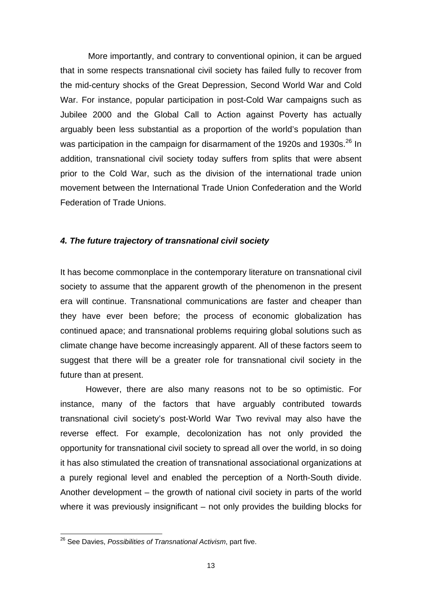More importantly, and contrary to conventional opinion, it can be argued that in some respects transnational civil society has failed fully to recover from the mid-century shocks of the Great Depression, Second World War and Cold War. For instance, popular participation in post-Cold War campaigns such as Jubilee 2000 and the Global Call to Action against Poverty has actually arguably been less substantial as a proportion of the world's population than was participation in the campaign for disarmament of the 1920s and 1930s.<sup>26</sup> In addition, transnational civil society today suffers from splits that were absent prior to the Cold War, such as the division of the international trade union movement between the International Trade Union Confederation and the World Federation of Trade Unions.

### *4. The future trajectory of transnational civil society*

It has become commonplace in the contemporary literature on transnational civil society to assume that the apparent growth of the phenomenon in the present era will continue. Transnational communications are faster and cheaper than they have ever been before; the process of economic globalization has continued apace; and transnational problems requiring global solutions such as climate change have become increasingly apparent. All of these factors seem to suggest that there will be a greater role for transnational civil society in the future than at present.

However, there are also many reasons not to be so optimistic. For instance, many of the factors that have arguably contributed towards transnational civil society's post-World War Two revival may also have the reverse effect. For example, decolonization has not only provided the opportunity for transnational civil society to spread all over the world, in so doing it has also stimulated the creation of transnational associational organizations at a purely regional level and enabled the perception of a North-South divide. Another development – the growth of national civil society in parts of the world where it was previously insignificant – not only provides the building blocks for

<u>.</u>

<sup>26</sup> See Davies, *Possibilities of Transnational Activism*, part five.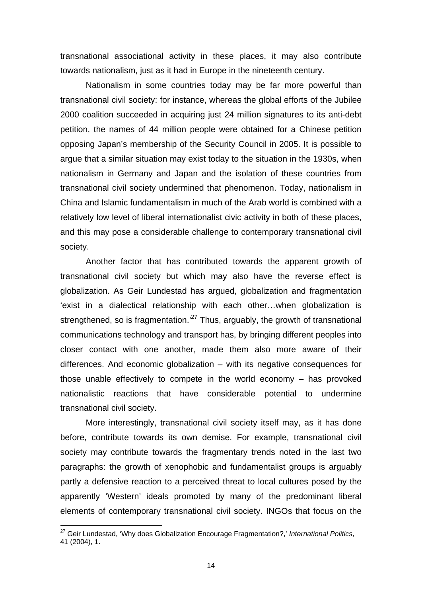transnational associational activity in these places, it may also contribute towards nationalism, just as it had in Europe in the nineteenth century.

Nationalism in some countries today may be far more powerful than transnational civil society: for instance, whereas the global efforts of the Jubilee 2000 coalition succeeded in acquiring just 24 million signatures to its anti-debt petition, the names of 44 million people were obtained for a Chinese petition opposing Japan's membership of the Security Council in 2005. It is possible to argue that a similar situation may exist today to the situation in the 1930s, when nationalism in Germany and Japan and the isolation of these countries from transnational civil society undermined that phenomenon. Today, nationalism in China and Islamic fundamentalism in much of the Arab world is combined with a relatively low level of liberal internationalist civic activity in both of these places, and this may pose a considerable challenge to contemporary transnational civil society.

Another factor that has contributed towards the apparent growth of transnational civil society but which may also have the reverse effect is globalization. As Geir Lundestad has argued, globalization and fragmentation 'exist in a dialectical relationship with each other…when globalization is strengthened, so is fragmentation.<sup>27</sup> Thus, arguably, the growth of transnational communications technology and transport has, by bringing different peoples into closer contact with one another, made them also more aware of their differences. And economic globalization – with its negative consequences for those unable effectively to compete in the world economy – has provoked nationalistic reactions that have considerable potential to undermine transnational civil society.

More interestingly, transnational civil society itself may, as it has done before, contribute towards its own demise. For example, transnational civil society may contribute towards the fragmentary trends noted in the last two paragraphs: the growth of xenophobic and fundamentalist groups is arguably partly a defensive reaction to a perceived threat to local cultures posed by the apparently 'Western' ideals promoted by many of the predominant liberal elements of contemporary transnational civil society. INGOs that focus on the

<sup>27</sup> Geir Lundestad, 'Why does Globalization Encourage Fragmentation?,' *International Politics*, 41 (2004), 1.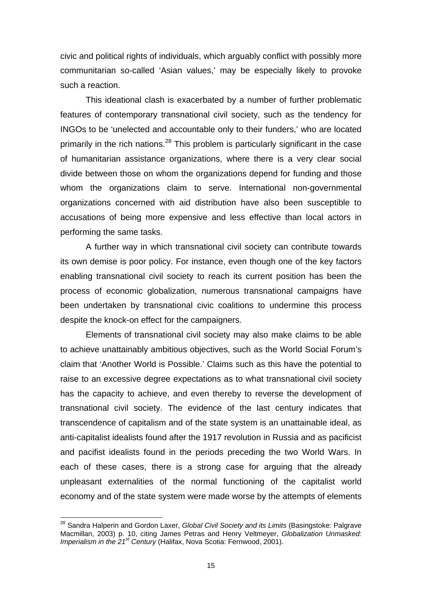civic and political rights of individuals, which arguably conflict with possibly more communitarian so-called 'Asian values,' may be especially likely to provoke such a reaction.

This ideational clash is exacerbated by a number of further problematic features of contemporary transnational civil society, such as the tendency for INGOs to be 'unelected and accountable only to their funders,' who are located primarily in the rich nations. $^{28}$  This problem is particularly significant in the case of humanitarian assistance organizations, where there is a very clear social divide between those on whom the organizations depend for funding and those whom the organizations claim to serve. International non-governmental organizations concerned with aid distribution have also been susceptible to accusations of being more expensive and less effective than local actors in performing the same tasks.

A further way in which transnational civil society can contribute towards its own demise is poor policy. For instance, even though one of the key factors enabling transnational civil society to reach its current position has been the process of economic globalization, numerous transnational campaigns have been undertaken by transnational civic coalitions to undermine this process despite the knock-on effect for the campaigners.

Elements of transnational civil society may also make claims to be able to achieve unattainably ambitious objectives, such as the World Social Forum's claim that 'Another World is Possible.' Claims such as this have the potential to raise to an excessive degree expectations as to what transnational civil society has the capacity to achieve, and even thereby to reverse the development of transnational civil society. The evidence of the last century indicates that transcendence of capitalism and of the state system is an unattainable ideal, as anti-capitalist idealists found after the 1917 revolution in Russia and as pacificist and pacifist idealists found in the periods preceding the two World Wars. In each of these cases, there is a strong case for arguing that the already unpleasant externalities of the normal functioning of the capitalist world economy and of the state system were made worse by the attempts of elements

<sup>28</sup> Sandra Halperin and Gordon Laxer, *Global Civil Society and its Limits* (Basingstoke: Palgrave Macmillan, 2003) p. 10, citing James Petras and Henry Veltmeyer, *Globalization Unmasked: Imperialism in the 21st Century* (Halifax, Nova Scotia: Fernwood, 2001).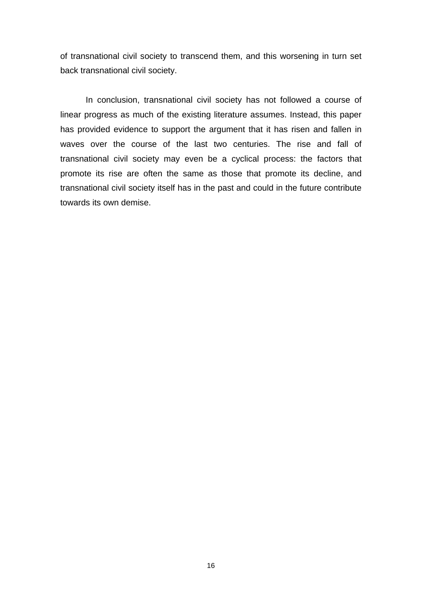of transnational civil society to transcend them, and this worsening in turn set back transnational civil society.

In conclusion, transnational civil society has not followed a course of linear progress as much of the existing literature assumes. Instead, this paper has provided evidence to support the argument that it has risen and fallen in waves over the course of the last two centuries. The rise and fall of transnational civil society may even be a cyclical process: the factors that promote its rise are often the same as those that promote its decline, and transnational civil society itself has in the past and could in the future contribute towards its own demise.